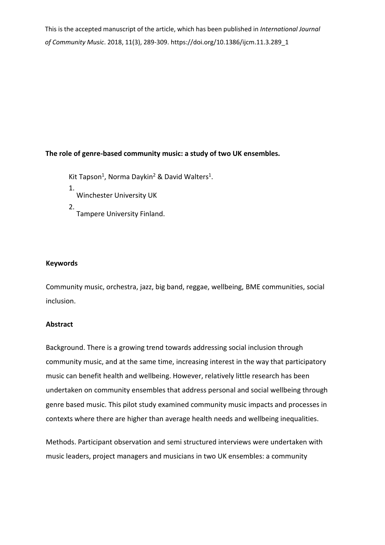This is the accepted manuscript of the article, which has been published in *International Journal of Community Music*. 2018, 11(3), 289-309. https://doi.org/10.1386/ijcm.11.3.289\_1

# **The role of genre-based community music: a study of two UK ensembles.**

Kit Tapson<sup>1</sup>, Norma Daykin<sup>2</sup> & David Walters<sup>1</sup>.

- 1. Winchester University UK
- 2. Tampere University Finland.

# **Keywords**

Community music, orchestra, jazz, big band, reggae, wellbeing, BME communities, social inclusion.

## **Abstract**

Background. There is a growing trend towards addressing social inclusion through community music, and at the same time, increasing interest in the way that participatory music can benefit health and wellbeing. However, relatively little research has been undertaken on community ensembles that address personal and social wellbeing through genre based music. This pilot study examined community music impacts and processes in contexts where there are higher than average health needs and wellbeing inequalities.

Methods. Participant observation and semi structured interviews were undertaken with music leaders, project managers and musicians in two UK ensembles: a community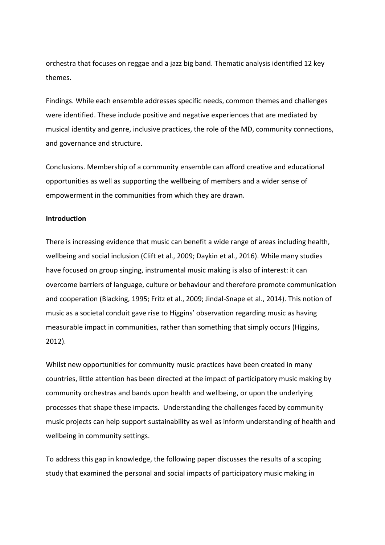orchestra that focuses on reggae and a jazz big band. Thematic analysis identified 12 key themes.

Findings. While each ensemble addresses specific needs, common themes and challenges were identified. These include positive and negative experiences that are mediated by musical identity and genre, inclusive practices, the role of the MD, community connections, and governance and structure.

Conclusions. Membership of a community ensemble can afford creative and educational opportunities as well as supporting the wellbeing of members and a wider sense of empowerment in the communities from which they are drawn.

## **Introduction**

There is increasing evidence that music can benefit a wide range of areas including health, wellbeing and social inclusion (Clift et al., 2009; Daykin et al., 2016). While many studies have focused on group singing, instrumental music making is also of interest: it can overcome barriers of language, culture or behaviour and therefore promote communication and cooperation (Blacking, 1995; Fritz et al., 2009; Jindal-Snape et al., 2014). This notion of music as a societal conduit gave rise to Higgins' observation regarding music as having measurable impact in communities, rather than something that simply occurs (Higgins, 2012).

Whilst new opportunities for community music practices have been created in many countries, little attention has been directed at the impact of participatory music making by community orchestras and bands upon health and wellbeing, or upon the underlying processes that shape these impacts. Understanding the challenges faced by community music projects can help support sustainability as well as inform understanding of health and wellbeing in community settings.

To address this gap in knowledge, the following paper discusses the results of a scoping study that examined the personal and social impacts of participatory music making in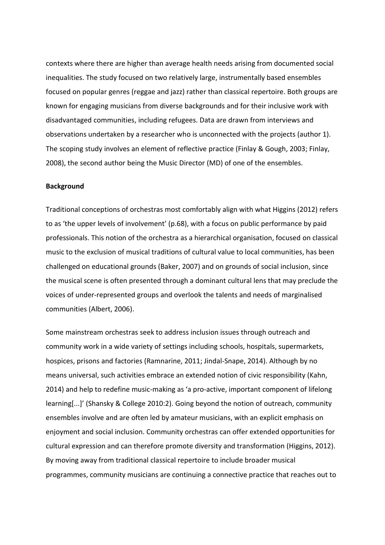contexts where there are higher than average health needs arising from documented social inequalities. The study focused on two relatively large, instrumentally based ensembles focused on popular genres (reggae and jazz) rather than classical repertoire. Both groups are known for engaging musicians from diverse backgrounds and for their inclusive work with disadvantaged communities, including refugees. Data are drawn from interviews and observations undertaken by a researcher who is unconnected with the projects (author 1). The scoping study involves an element of reflective practice (Finlay & Gough, 2003; Finlay, 2008), the second author being the Music Director (MD) of one of the ensembles.

#### **Background**

Traditional conceptions of orchestras most comfortably align with what Higgins (2012) refers to as 'the upper levels of involvement' (p.68), with a focus on public performance by paid professionals. This notion of the orchestra as a hierarchical organisation, focused on classical music to the exclusion of musical traditions of cultural value to local communities, has been challenged on educational grounds (Baker, 2007) and on grounds of social inclusion, since the musical scene is often presented through a dominant cultural lens that may preclude the voices of under-represented groups and overlook the talents and needs of marginalised communities (Albert, 2006).

Some mainstream orchestras seek to address inclusion issues through outreach and community work in a wide variety of settings including schools, hospitals, supermarkets, hospices, prisons and factories (Ramnarine, 2011; Jindal-Snape, 2014). Although by no means universal, such activities embrace an extended notion of civic responsibility (Kahn, 2014) and help to redefine music-making as 'a pro-active, important component of lifelong learning[...]' (Shansky & College 2010:2). Going beyond the notion of outreach, community ensembles involve and are often led by amateur musicians, with an explicit emphasis on enjoyment and social inclusion. Community orchestras can offer extended opportunities for cultural expression and can therefore promote diversity and transformation (Higgins, 2012). By moving away from traditional classical repertoire to include broader musical programmes, community musicians are continuing a connective practice that reaches out to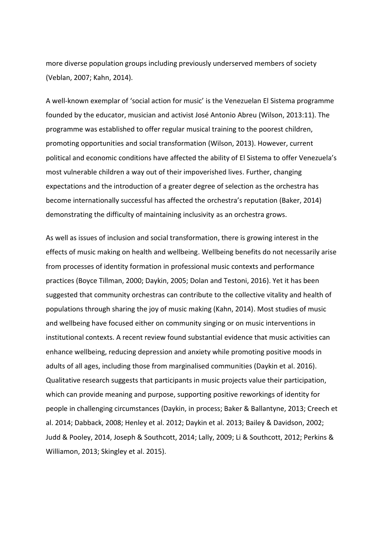more diverse population groups including previously underserved members of society (Veblan, 2007; Kahn, 2014).

A well-known exemplar of 'social action for music' is the Venezuelan El Sistema programme founded by the educator, musician and activist José Antonio Abreu (Wilson, 2013:11). The programme was established to offer regular musical training to the poorest children, promoting opportunities and social transformation (Wilson, 2013). However, current political and economic conditions have affected the ability of El Sistema to offer Venezuela's most vulnerable children a way out of their impoverished lives. Further, changing expectations and the introduction of a greater degree of selection as the orchestra has become internationally successful has affected the orchestra's reputation (Baker, 2014) demonstrating the difficulty of maintaining inclusivity as an orchestra grows.

As well as issues of inclusion and social transformation, there is growing interest in the effects of music making on health and wellbeing. Wellbeing benefits do not necessarily arise from processes of identity formation in professional music contexts and performance practices (Boyce Tillman, 2000; Daykin, 2005; Dolan and Testoni, 2016). Yet it has been suggested that community orchestras can contribute to the collective vitality and health of populations through sharing the joy of music making (Kahn, 2014). Most studies of music and wellbeing have focused either on community singing or on music interventions in institutional contexts. A recent review found substantial evidence that music activities can enhance wellbeing, reducing depression and anxiety while promoting positive moods in adults of all ages, including those from marginalised communities (Daykin et al. 2016). Qualitative research suggests that participants in music projects value their participation, which can provide meaning and purpose, supporting positive reworkings of identity for people in challenging circumstances (Daykin, in process; Baker & Ballantyne, 2013; Creech et al. 2014; Dabback, 2008; Henley et al. 2012; Daykin et al. 2013; Bailey & Davidson, 2002; Judd & Pooley, 2014, Joseph & Southcott, 2014; Lally, 2009; Li & Southcott, 2012; Perkins & Williamon, 2013; Skingley et al. 2015).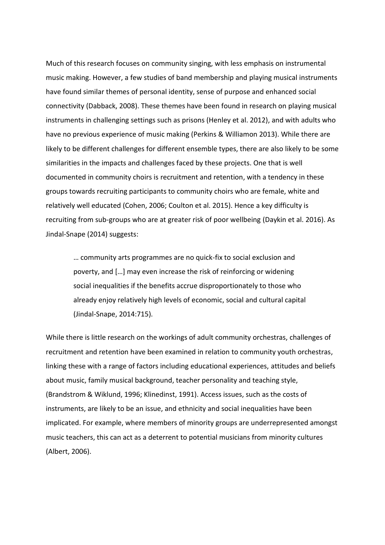Much of this research focuses on community singing, with less emphasis on instrumental music making. However, a few studies of band membership and playing musical instruments have found similar themes of personal identity, sense of purpose and enhanced social connectivity (Dabback, 2008). These themes have been found in research on playing musical instruments in challenging settings such as prisons (Henley et al. 2012), and with adults who have no previous experience of music making (Perkins & Williamon 2013). While there are likely to be different challenges for different ensemble types, there are also likely to be some similarities in the impacts and challenges faced by these projects. One that is well documented in community choirs is recruitment and retention, with a tendency in these groups towards recruiting participants to community choirs who are female, white and relatively well educated (Cohen, 2006; Coulton et al. 2015). Hence a key difficulty is recruiting from sub-groups who are at greater risk of poor wellbeing (Daykin et al. 2016). As Jindal-Snape (2014) suggests:

… community arts programmes are no quick-fix to social exclusion and poverty, and […] may even increase the risk of reinforcing or widening social inequalities if the benefits accrue disproportionately to those who already enjoy relatively high levels of economic, social and cultural capital (Jindal-Snape, 2014:715).

While there is little research on the workings of adult community orchestras, challenges of recruitment and retention have been examined in relation to community youth orchestras, linking these with a range of factors including educational experiences, attitudes and beliefs about music, family musical background, teacher personality and teaching style, (Brandstrom & Wiklund, 1996; Klinedinst, 1991). Access issues, such as the costs of instruments, are likely to be an issue, and ethnicity and social inequalities have been implicated. For example, where members of minority groups are underrepresented amongst music teachers, this can act as a deterrent to potential musicians from minority cultures (Albert, 2006).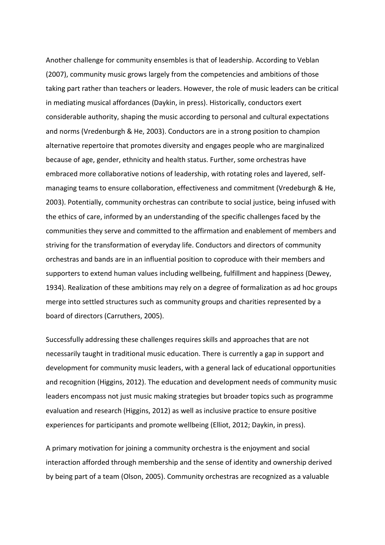Another challenge for community ensembles is that of leadership. According to Veblan (2007), community music grows largely from the competencies and ambitions of those taking part rather than teachers or leaders. However, the role of music leaders can be critical in mediating musical affordances (Daykin, in press). Historically, conductors exert considerable authority, shaping the music according to personal and cultural expectations and norms (Vredenburgh & He, 2003). Conductors are in a strong position to champion alternative repertoire that promotes diversity and engages people who are marginalized because of age, gender, ethnicity and health status. Further, some orchestras have embraced more collaborative notions of leadership, with rotating roles and layered, selfmanaging teams to ensure collaboration, effectiveness and commitment (Vredeburgh & He, 2003). Potentially, community orchestras can contribute to social justice, being infused with the ethics of care, informed by an understanding of the specific challenges faced by the communities they serve and committed to the affirmation and enablement of members and striving for the transformation of everyday life. Conductors and directors of community orchestras and bands are in an influential position to coproduce with their members and supporters to extend human values including wellbeing, fulfillment and happiness (Dewey, 1934). Realization of these ambitions may rely on a degree of formalization as ad hoc groups merge into settled structures such as community groups and charities represented by a board of directors (Carruthers, 2005).

Successfully addressing these challenges requires skills and approaches that are not necessarily taught in traditional music education. There is currently a gap in support and development for community music leaders, with a general lack of educational opportunities and recognition (Higgins, 2012). The education and development needs of community music leaders encompass not just music making strategies but broader topics such as programme evaluation and research (Higgins, 2012) as well as inclusive practice to ensure positive experiences for participants and promote wellbeing (Elliot, 2012; Daykin, in press).

A primary motivation for joining a community orchestra is the enjoyment and social interaction afforded through membership and the sense of identity and ownership derived by being part of a team (Olson, 2005). Community orchestras are recognized as a valuable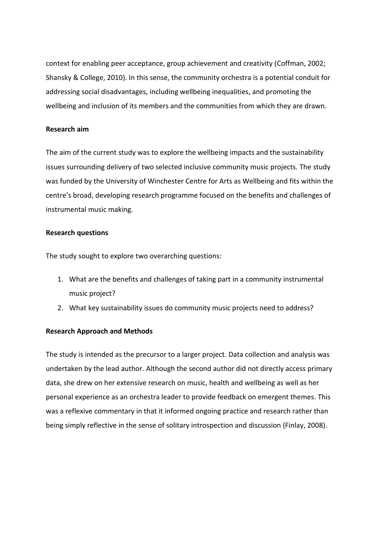context for enabling peer acceptance, group achievement and creativity (Coffman, 2002; Shansky & College, 2010). In this sense, the community orchestra is a potential conduit for addressing social disadvantages, including wellbeing inequalities, and promoting the wellbeing and inclusion of its members and the communities from which they are drawn.

## **Research aim**

The aim of the current study was to explore the wellbeing impacts and the sustainability issues surrounding delivery of two selected inclusive community music projects. The study was funded by the University of Winchester Centre for Arts as Wellbeing and fits within the centre's broad, developing research programme focused on the benefits and challenges of instrumental music making.

## **Research questions**

The study sought to explore two overarching questions:

- 1. What are the benefits and challenges of taking part in a community instrumental music project?
- 2. What key sustainability issues do community music projects need to address?

## **Research Approach and Methods**

The study is intended as the precursor to a larger project. Data collection and analysis was undertaken by the lead author. Although the second author did not directly access primary data, she drew on her extensive research on music, health and wellbeing as well as her personal experience as an orchestra leader to provide feedback on emergent themes. This was a reflexive commentary in that it informed ongoing practice and research rather than being simply reflective in the sense of solitary introspection and discussion (Finlay, 2008).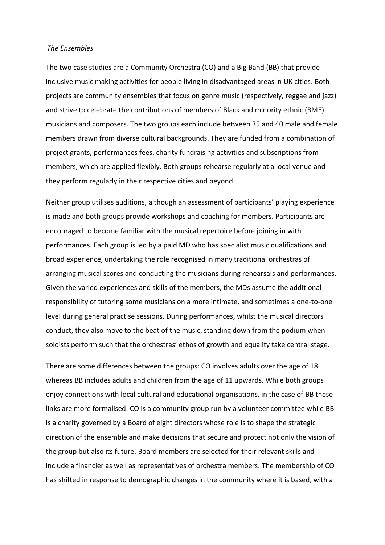### *The Ensembles*

The two case studies are a Community Orchestra (CO) and a Big Band (BB) that provide inclusive music making activities for people living in disadvantaged areas in UK cities. Both projects are community ensembles that focus on genre music (respectively, reggae and jazz) and strive to celebrate the contributions of members of Black and minority ethnic (BME) musicians and composers. The two groups each include between 35 and 40 male and female members drawn from diverse cultural backgrounds. They are funded from a combination of project grants, performances fees, charity fundraising activities and subscriptions from members, which are applied flexibly. Both groups rehearse regularly at a local venue and they perform regularly in their respective cities and beyond.

Neither group utilises auditions, although an assessment of participants' playing experience is made and both groups provide workshops and coaching for members. Participants are encouraged to become familiar with the musical repertoire before joining in with performances. Each group is led by a paid MD who has specialist music qualifications and broad experience, undertaking the role recognised in many traditional orchestras of arranging musical scores and conducting the musicians during rehearsals and performances. Given the varied experiences and skills of the members, the MDs assume the additional responsibility of tutoring some musicians on a more intimate, and sometimes a one-to-one level during general practise sessions. During performances, whilst the musical directors conduct, they also move to the beat of the music, standing down from the podium when soloists perform such that the orchestras' ethos of growth and equality take central stage.

There are some differences between the groups: CO involves adults over the age of 18 whereas BB includes adults and children from the age of 11 upwards. While both groups enjoy connections with local cultural and educational organisations, in the case of BB these links are more formalised. CO is a community group run by a volunteer committee while BB is a charity governed by a Board of eight directors whose role is to shape the strategic direction of the ensemble and make decisions that secure and protect not only the vision of the group but also its future. Board members are selected for their relevant skills and include a financier as well as representatives of orchestra members. The membership of CO has shifted in response to demographic changes in the community where it is based, with a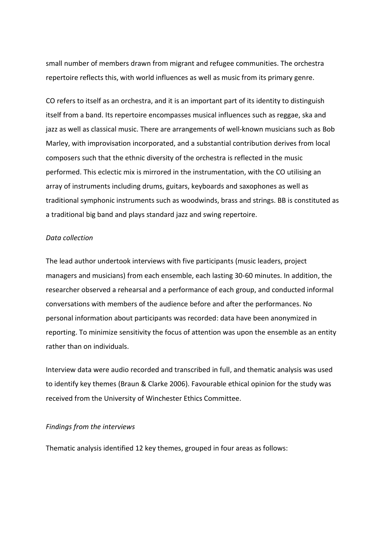small number of members drawn from migrant and refugee communities. The orchestra repertoire reflects this, with world influences as well as music from its primary genre.

CO refers to itself as an orchestra, and it is an important part of its identity to distinguish itself from a band. Its repertoire encompasses musical influences such as reggae, ska and jazz as well as classical music. There are arrangements of well-known musicians such as Bob Marley, with improvisation incorporated, and a substantial contribution derives from local composers such that the ethnic diversity of the orchestra is reflected in the music performed. This eclectic mix is mirrored in the instrumentation, with the CO utilising an array of instruments including drums, guitars, keyboards and saxophones as well as traditional symphonic instruments such as woodwinds, brass and strings. BB is constituted as a traditional big band and plays standard jazz and swing repertoire.

### *Data collection*

The lead author undertook interviews with five participants (music leaders, project managers and musicians) from each ensemble, each lasting 30-60 minutes. In addition, the researcher observed a rehearsal and a performance of each group, and conducted informal conversations with members of the audience before and after the performances. No personal information about participants was recorded: data have been anonymized in reporting. To minimize sensitivity the focus of attention was upon the ensemble as an entity rather than on individuals.

Interview data were audio recorded and transcribed in full, and thematic analysis was used to identify key themes (Braun & Clarke 2006). Favourable ethical opinion for the study was received from the University of Winchester Ethics Committee.

#### *Findings from the interviews*

Thematic analysis identified 12 key themes, grouped in four areas as follows: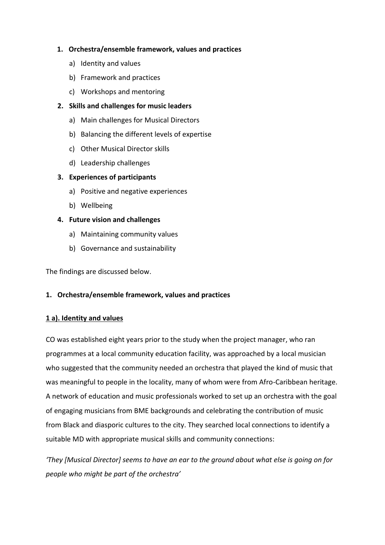# **1. Orchestra/ensemble framework, values and practices**

- a) Identity and values
- b) Framework and practices
- c) Workshops and mentoring

# **2. Skills and challenges for music leaders**

- a) Main challenges for Musical Directors
- b) Balancing the different levels of expertise
- c) Other Musical Director skills
- d) Leadership challenges

# **3. Experiences of participants**

- a) Positive and negative experiences
- b) Wellbeing

# **4. Future vision and challenges**

- a) Maintaining community values
- b) Governance and sustainability

The findings are discussed below.

## **1. Orchestra/ensemble framework, values and practices**

## **1 a). Identity and values**

CO was established eight years prior to the study when the project manager, who ran programmes at a local community education facility, was approached by a local musician who suggested that the community needed an orchestra that played the kind of music that was meaningful to people in the locality, many of whom were from Afro-Caribbean heritage. A network of education and music professionals worked to set up an orchestra with the goal of engaging musicians from BME backgrounds and celebrating the contribution of music from Black and diasporic cultures to the city. They searched local connections to identify a suitable MD with appropriate musical skills and community connections:

*'They [Musical Director] seems to have an ear to the ground about what else is going on for people who might be part of the orchestra'*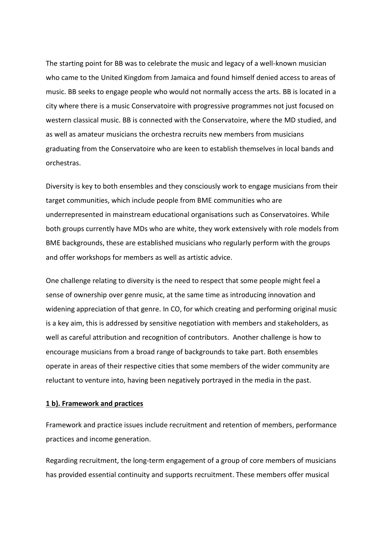The starting point for BB was to celebrate the music and legacy of a well-known musician who came to the United Kingdom from Jamaica and found himself denied access to areas of music. BB seeks to engage people who would not normally access the arts. BB is located in a city where there is a music Conservatoire with progressive programmes not just focused on western classical music. BB is connected with the Conservatoire, where the MD studied, and as well as amateur musicians the orchestra recruits new members from musicians graduating from the Conservatoire who are keen to establish themselves in local bands and orchestras.

Diversity is key to both ensembles and they consciously work to engage musicians from their target communities, which include people from BME communities who are underrepresented in mainstream educational organisations such as Conservatoires. While both groups currently have MDs who are white, they work extensively with role models from BME backgrounds, these are established musicians who regularly perform with the groups and offer workshops for members as well as artistic advice.

One challenge relating to diversity is the need to respect that some people might feel a sense of ownership over genre music, at the same time as introducing innovation and widening appreciation of that genre. In CO, for which creating and performing original music is a key aim, this is addressed by sensitive negotiation with members and stakeholders, as well as careful attribution and recognition of contributors. Another challenge is how to encourage musicians from a broad range of backgrounds to take part. Both ensembles operate in areas of their respective cities that some members of the wider community are reluctant to venture into, having been negatively portrayed in the media in the past.

#### **1 b). Framework and practices**

Framework and practice issues include recruitment and retention of members, performance practices and income generation.

Regarding recruitment, the long-term engagement of a group of core members of musicians has provided essential continuity and supports recruitment. These members offer musical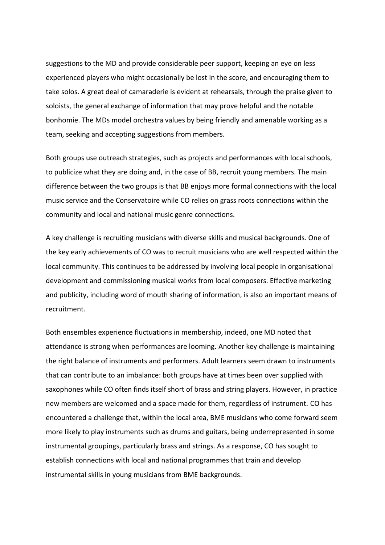suggestions to the MD and provide considerable peer support, keeping an eye on less experienced players who might occasionally be lost in the score, and encouraging them to take solos. A great deal of camaraderie is evident at rehearsals, through the praise given to soloists, the general exchange of information that may prove helpful and the notable bonhomie. The MDs model orchestra values by being friendly and amenable working as a team, seeking and accepting suggestions from members.

Both groups use outreach strategies, such as projects and performances with local schools, to publicize what they are doing and, in the case of BB, recruit young members. The main difference between the two groups is that BB enjoys more formal connections with the local music service and the Conservatoire while CO relies on grass roots connections within the community and local and national music genre connections.

A key challenge is recruiting musicians with diverse skills and musical backgrounds. One of the key early achievements of CO was to recruit musicians who are well respected within the local community. This continues to be addressed by involving local people in organisational development and commissioning musical works from local composers. Effective marketing and publicity, including word of mouth sharing of information, is also an important means of recruitment.

Both ensembles experience fluctuations in membership, indeed, one MD noted that attendance is strong when performances are looming. Another key challenge is maintaining the right balance of instruments and performers. Adult learners seem drawn to instruments that can contribute to an imbalance: both groups have at times been over supplied with saxophones while CO often finds itself short of brass and string players. However, in practice new members are welcomed and a space made for them, regardless of instrument. CO has encountered a challenge that, within the local area, BME musicians who come forward seem more likely to play instruments such as drums and guitars, being underrepresented in some instrumental groupings, particularly brass and strings. As a response, CO has sought to establish connections with local and national programmes that train and develop instrumental skills in young musicians from BME backgrounds.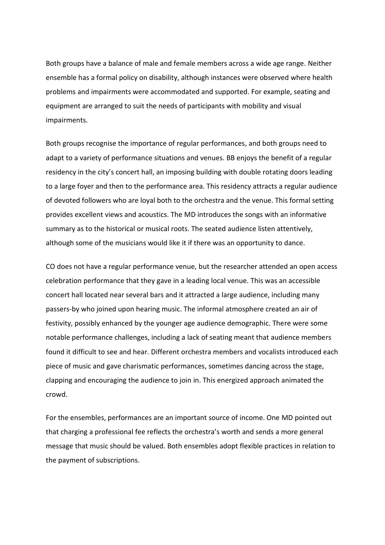Both groups have a balance of male and female members across a wide age range. Neither ensemble has a formal policy on disability, although instances were observed where health problems and impairments were accommodated and supported. For example, seating and equipment are arranged to suit the needs of participants with mobility and visual impairments.

Both groups recognise the importance of regular performances, and both groups need to adapt to a variety of performance situations and venues. BB enjoys the benefit of a regular residency in the city's concert hall, an imposing building with double rotating doors leading to a large foyer and then to the performance area. This residency attracts a regular audience of devoted followers who are loyal both to the orchestra and the venue. This formal setting provides excellent views and acoustics. The MD introduces the songs with an informative summary as to the historical or musical roots. The seated audience listen attentively, although some of the musicians would like it if there was an opportunity to dance.

CO does not have a regular performance venue, but the researcher attended an open access celebration performance that they gave in a leading local venue. This was an accessible concert hall located near several bars and it attracted a large audience, including many passers-by who joined upon hearing music. The informal atmosphere created an air of festivity, possibly enhanced by the younger age audience demographic. There were some notable performance challenges, including a lack of seating meant that audience members found it difficult to see and hear. Different orchestra members and vocalists introduced each piece of music and gave charismatic performances, sometimes dancing across the stage, clapping and encouraging the audience to join in. This energized approach animated the crowd.

For the ensembles, performances are an important source of income. One MD pointed out that charging a professional fee reflects the orchestra's worth and sends a more general message that music should be valued. Both ensembles adopt flexible practices in relation to the payment of subscriptions.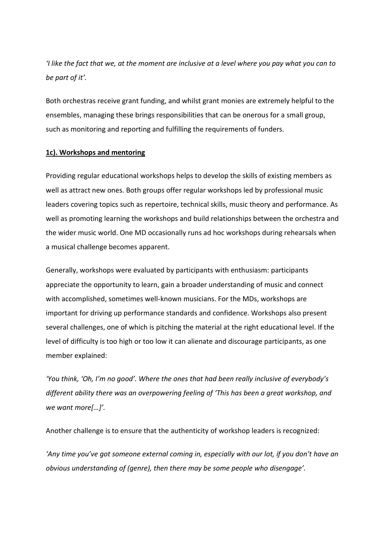*'I like the fact that we, at the moment are inclusive at a level where you pay what you can to be part of it'.*

Both orchestras receive grant funding, and whilst grant monies are extremely helpful to the ensembles, managing these brings responsibilities that can be onerous for a small group, such as monitoring and reporting and fulfilling the requirements of funders.

## **1c). Workshops and mentoring**

Providing regular educational workshops helps to develop the skills of existing members as well as attract new ones. Both groups offer regular workshops led by professional music leaders covering topics such as repertoire, technical skills, music theory and performance. As well as promoting learning the workshops and build relationships between the orchestra and the wider music world. One MD occasionally runs ad hoc workshops during rehearsals when a musical challenge becomes apparent.

Generally, workshops were evaluated by participants with enthusiasm: participants appreciate the opportunity to learn, gain a broader understanding of music and connect with accomplished, sometimes well-known musicians. For the MDs, workshops are important for driving up performance standards and confidence. Workshops also present several challenges, one of which is pitching the material at the right educational level. If the level of difficulty is too high or too low it can alienate and discourage participants, as one member explained:

*'You think, 'Oh, I'm no good'. Where the ones that had been really inclusive of everybody's different ability there was an overpowering feeling of 'This has been a great workshop, and we want more[…]'.*

Another challenge is to ensure that the authenticity of workshop leaders is recognized:

*'Any time you've got someone external coming in, especially with our lot, if you don't have an obvious understanding of (genre), then there may be some people who disengage'.*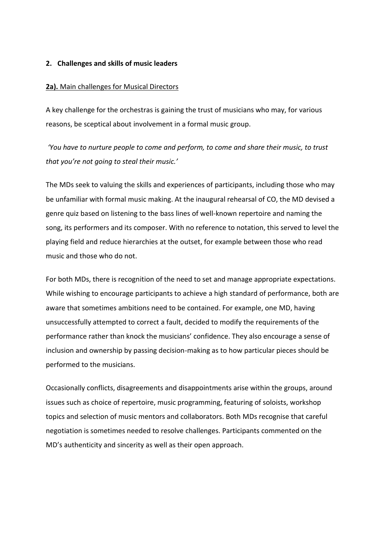## **2. Challenges and skills of music leaders**

### **2a).** Main challenges for Musical Directors

A key challenge for the orchestras is gaining the trust of musicians who may, for various reasons, be sceptical about involvement in a formal music group.

*'You have to nurture people to come and perform, to come and share their music, to trust that you're not going to steal their music.'*

The MDs seek to valuing the skills and experiences of participants, including those who may be unfamiliar with formal music making. At the inaugural rehearsal of CO, the MD devised a genre quiz based on listening to the bass lines of well-known repertoire and naming the song, its performers and its composer. With no reference to notation, this served to level the playing field and reduce hierarchies at the outset, for example between those who read music and those who do not.

For both MDs, there is recognition of the need to set and manage appropriate expectations. While wishing to encourage participants to achieve a high standard of performance, both are aware that sometimes ambitions need to be contained. For example, one MD, having unsuccessfully attempted to correct a fault, decided to modify the requirements of the performance rather than knock the musicians' confidence. They also encourage a sense of inclusion and ownership by passing decision-making as to how particular pieces should be performed to the musicians.

Occasionally conflicts, disagreements and disappointments arise within the groups, around issues such as choice of repertoire, music programming, featuring of soloists, workshop topics and selection of music mentors and collaborators. Both MDs recognise that careful negotiation is sometimes needed to resolve challenges. Participants commented on the MD's authenticity and sincerity as well as their open approach.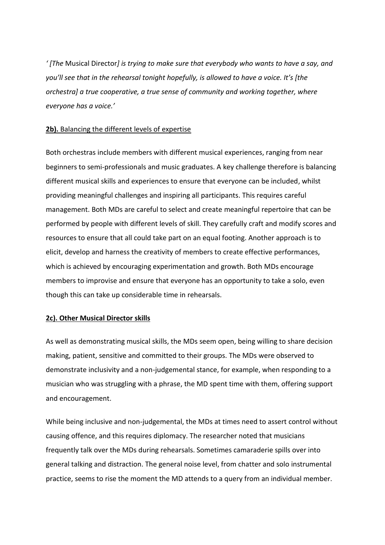*' [The* Musical Director*] is trying to make sure that everybody who wants to have a say, and you'll see that in the rehearsal tonight hopefully, is allowed to have a voice. It's [the orchestra] a true cooperative, a true sense of community and working together, where everyone has a voice.'*

# 2b). Balancing the different levels of expertise

Both orchestras include members with different musical experiences, ranging from near beginners to semi-professionals and music graduates. A key challenge therefore is balancing different musical skills and experiences to ensure that everyone can be included, whilst providing meaningful challenges and inspiring all participants. This requires careful management. Both MDs are careful to select and create meaningful repertoire that can be performed by people with different levels of skill. They carefully craft and modify scores and resources to ensure that all could take part on an equal footing. Another approach is to elicit, develop and harness the creativity of members to create effective performances, which is achieved by encouraging experimentation and growth. Both MDs encourage members to improvise and ensure that everyone has an opportunity to take a solo, even though this can take up considerable time in rehearsals.

## **2c). Other Musical Director skills**

As well as demonstrating musical skills, the MDs seem open, being willing to share decision making, patient, sensitive and committed to their groups. The MDs were observed to demonstrate inclusivity and a non-judgemental stance, for example, when responding to a musician who was struggling with a phrase, the MD spent time with them, offering support and encouragement.

While being inclusive and non-judgemental, the MDs at times need to assert control without causing offence, and this requires diplomacy. The researcher noted that musicians frequently talk over the MDs during rehearsals. Sometimes camaraderie spills over into general talking and distraction. The general noise level, from chatter and solo instrumental practice, seems to rise the moment the MD attends to a query from an individual member.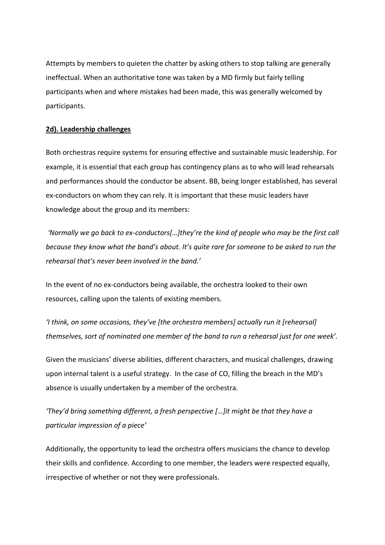Attempts by members to quieten the chatter by asking others to stop talking are generally ineffectual. When an authoritative tone was taken by a MD firmly but fairly telling participants when and where mistakes had been made, this was generally welcomed by participants.

# **2d). Leadership challenges**

Both orchestras require systems for ensuring effective and sustainable music leadership. For example, it is essential that each group has contingency plans as to who will lead rehearsals and performances should the conductor be absent. BB, being longer established, has several ex-conductors on whom they can rely. It is important that these music leaders have knowledge about the group and its members:

*'Normally we go back to ex-conductors[…]they're the kind of people who may be the first call because they know what the band's about. It's quite rare for someone to be asked to run the rehearsal that's never been involved in the band.'*

In the event of no ex-conductors being available, the orchestra looked to their own resources, calling upon the talents of existing members.

*'I think, on some occasions, they've [the orchestra members] actually run it [rehearsal] themselves, sort of nominated one member of the band to run a rehearsal just for one week'.*

Given the musicians' diverse abilities, different characters, and musical challenges, drawing upon internal talent is a useful strategy. In the case of CO, filling the breach in the MD's absence is usually undertaken by a member of the orchestra.

*'They'd bring something different, a fresh perspective […]it might be that they have a particular impression of a piece'*

Additionally, the opportunity to lead the orchestra offers musicians the chance to develop their skills and confidence. According to one member, the leaders were respected equally, irrespective of whether or not they were professionals.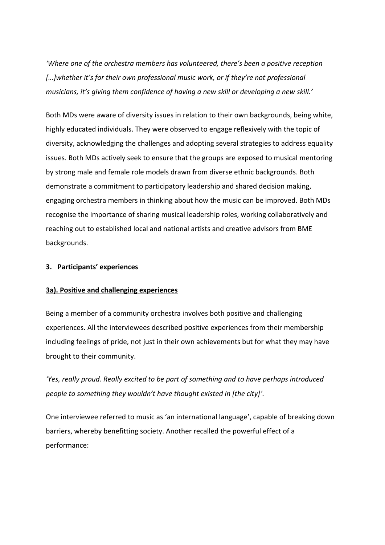*'Where one of the orchestra members has volunteered, there's been a positive reception […]whether it's for their own professional music work, or if they're not professional musicians, it's giving them confidence of having a new skill or developing a new skill.'*

Both MDs were aware of diversity issues in relation to their own backgrounds, being white, highly educated individuals. They were observed to engage reflexively with the topic of diversity, acknowledging the challenges and adopting several strategies to address equality issues. Both MDs actively seek to ensure that the groups are exposed to musical mentoring by strong male and female role models drawn from diverse ethnic backgrounds. Both demonstrate a commitment to participatory leadership and shared decision making, engaging orchestra members in thinking about how the music can be improved. Both MDs recognise the importance of sharing musical leadership roles, working collaboratively and reaching out to established local and national artists and creative advisors from BME backgrounds.

## **3. Participants' experiences**

## **3a). Positive and challenging experiences**

Being a member of a community orchestra involves both positive and challenging experiences. All the interviewees described positive experiences from their membership including feelings of pride, not just in their own achievements but for what they may have brought to their community.

*'Yes, really proud. Really excited to be part of something and to have perhaps introduced people to something they wouldn't have thought existed in [the city]'.*

One interviewee referred to music as 'an international language', capable of breaking down barriers, whereby benefitting society. Another recalled the powerful effect of a performance: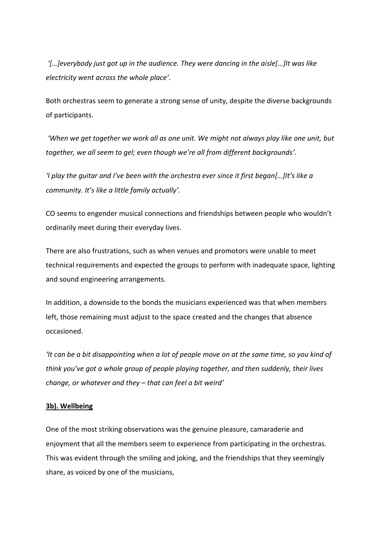*'[…]everybody just got up in the audience. They were dancing in the aisle[…]It was like electricity went across the whole place'.*

Both orchestras seem to generate a strong sense of unity, despite the diverse backgrounds of participants.

*'When we get together we work all as one unit. We might not always play like one unit, but together, we all seem to gel; even though we're all from different backgrounds'.*

*'I play the guitar and I've been with the orchestra ever since it first began[…]It's like a community. It's like a little family actually'.*

CO seems to engender musical connections and friendships between people who wouldn't ordinarily meet during their everyday lives.

There are also frustrations, such as when venues and promotors were unable to meet technical requirements and expected the groups to perform with inadequate space, lighting and sound engineering arrangements.

In addition, a downside to the bonds the musicians experienced was that when members left, those remaining must adjust to the space created and the changes that absence occasioned.

*'It can be a bit disappointing when a lot of people move on at the same time, so you kind of think you've got a whole group of people playing together, and then suddenly, their lives change, or whatever and they – that can feel a bit weird'*

## **3b). Wellbeing**

One of the most striking observations was the genuine pleasure, camaraderie and enjoyment that all the members seem to experience from participating in the orchestras. This was evident through the smiling and joking, and the friendships that they seemingly share, as voiced by one of the musicians,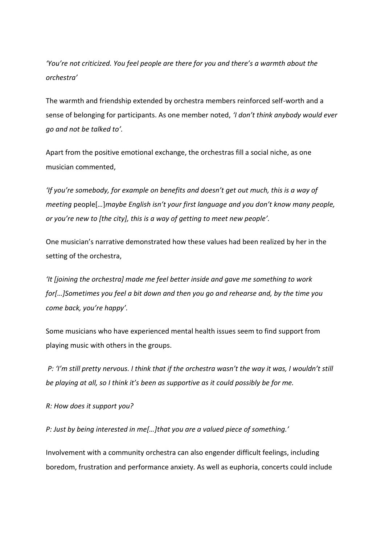*'You're not criticized. You feel people are there for you and there's a warmth about the orchestra'*

The warmth and friendship extended by orchestra members reinforced self-worth and a sense of belonging for participants. As one member noted, *'I don't think anybody would ever go and not be talked to'.*

Apart from the positive emotional exchange, the orchestras fill a social niche, as one musician commented,

*'If you're somebody, for example on benefits and doesn't get out much, this is a way of meeting* people[*…*]*maybe English isn't your first language and you don't know many people, or you're new to [the city], this is a way of getting to meet new people'.* 

One musician's narrative demonstrated how these values had been realized by her in the setting of the orchestra,

*'It [joining the orchestra] made me feel better inside and gave me something to work for[…]Sometimes you feel a bit down and then you go and rehearse and, by the time you come back, you're happy'.*

Some musicians who have experienced mental health issues seem to find support from playing music with others in the groups.

*P: 'I'm still pretty nervous. I think that if the orchestra wasn't the way it was, I wouldn't still be playing at all, so I think it's been as supportive as it could possibly be for me.*

*R: How does it support you?*

*P: Just by being interested in me[…]that you are a valued piece of something.'*

Involvement with a community orchestra can also engender difficult feelings, including boredom, frustration and performance anxiety. As well as euphoria, concerts could include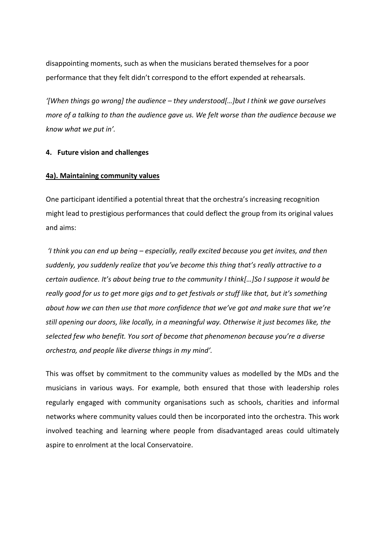disappointing moments, such as when the musicians berated themselves for a poor performance that they felt didn't correspond to the effort expended at rehearsals.

*'[When things go wrong] the audience – they understood[…]but I think we gave ourselves more of a talking to than the audience gave us. We felt worse than the audience because we know what we put in'.*

## **4. Future vision and challenges**

## **4a). Maintaining community values**

One participant identified a potential threat that the orchestra's increasing recognition might lead to prestigious performances that could deflect the group from its original values and aims:

*'I think you can end up being – especially, really excited because you get invites, and then suddenly, you suddenly realize that you've become this thing that's really attractive to a certain audience. It's about being true to the community I think[…]So I suppose it would be really good for us to get more gigs and to get festivals or stuff like that, but it's something about how we can then use that more confidence that we've got and make sure that we're still opening our doors, like locally, in a meaningful way. Otherwise it just becomes like, the selected few who benefit. You sort of become that phenomenon because you're a diverse orchestra, and people like diverse things in my mind'.*

This was offset by commitment to the community values as modelled by the MDs and the musicians in various ways. For example, both ensured that those with leadership roles regularly engaged with community organisations such as schools, charities and informal networks where community values could then be incorporated into the orchestra. This work involved teaching and learning where people from disadvantaged areas could ultimately aspire to enrolment at the local Conservatoire.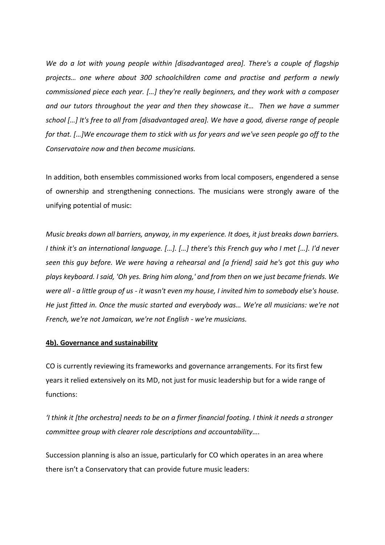*We do a lot with young people within [disadvantaged area]. There's a couple of flagship projects… one where about 300 schoolchildren come and practise and perform a newly commissioned piece each year. […] they're really beginners, and they work with a composer and our tutors throughout the year and then they showcase it… Then we have a summer school […] It's free to all from [disadvantaged area]. We have a good, diverse range of people for that. […]We encourage them to stick with us for years and we've seen people go off to the Conservatoire now and then become musicians.*

In addition, both ensembles commissioned works from local composers, engendered a sense of ownership and strengthening connections. The musicians were strongly aware of the unifying potential of music:

*Music breaks down all barriers, anyway, in my experience. It does, it just breaks down barriers. I think it's an international language. […]. […] there's this French guy who I met […]. I'd never seen this guy before. We were having a rehearsal and [a friend] said he's got this guy who plays keyboard. I said, 'Oh yes. Bring him along,' and from then on we just became friends. We were all - a little group of us - it wasn't even my house, I invited him to somebody else's house. He just fitted in. Once the music started and everybody was… We're all musicians: we're not French, we're not Jamaican, we're not English - we're musicians.*

## **4b). Governance and sustainability**

CO is currently reviewing its frameworks and governance arrangements. For its first few years it relied extensively on its MD, not just for music leadership but for a wide range of functions:

*'I think it [the orchestra] needs to be on a firmer financial footing. I think it needs a stronger committee group with clearer role descriptions and accountability….*

Succession planning is also an issue, particularly for CO which operates in an area where there isn't a Conservatory that can provide future music leaders: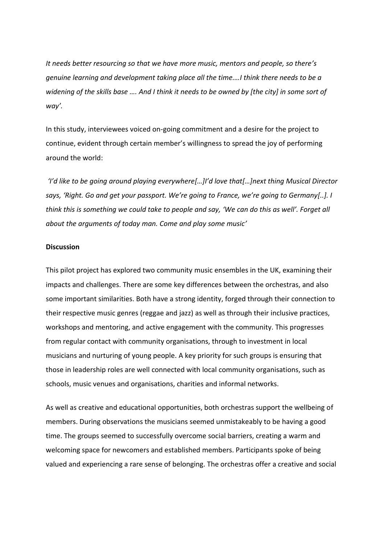*It needs better resourcing so that we have more music, mentors and people, so there's genuine learning and development taking place all the time.…I think there needs to be a widening of the skills base …. And I think it needs to be owned by [the city] in some sort of way'.* 

In this study, interviewees voiced on-going commitment and a desire for the project to continue, evident through certain member's willingness to spread the joy of performing around the world:

*'I'd like to be going around playing everywhere[…]I'd love that[…]next thing Musical Director says, 'Right. Go and get your passport. We're going to France, we're going to Germany[..]. I think this is something we could take to people and say, 'We can do this as well'. Forget all about the arguments of today man. Come and play some music'*

#### **Discussion**

This pilot project has explored two community music ensembles in the UK, examining their impacts and challenges. There are some key differences between the orchestras, and also some important similarities. Both have a strong identity, forged through their connection to their respective music genres (reggae and jazz) as well as through their inclusive practices, workshops and mentoring, and active engagement with the community. This progresses from regular contact with community organisations, through to investment in local musicians and nurturing of young people. A key priority for such groups is ensuring that those in leadership roles are well connected with local community organisations, such as schools, music venues and organisations, charities and informal networks.

As well as creative and educational opportunities, both orchestras support the wellbeing of members. During observations the musicians seemed unmistakeably to be having a good time. The groups seemed to successfully overcome social barriers, creating a warm and welcoming space for newcomers and established members. Participants spoke of being valued and experiencing a rare sense of belonging. The orchestras offer a creative and social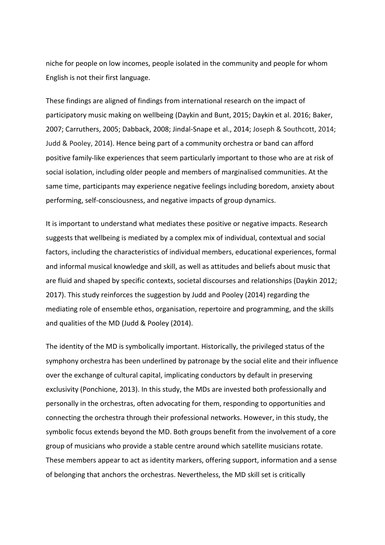niche for people on low incomes, people isolated in the community and people for whom English is not their first language.

These findings are aligned of findings from international research on the impact of participatory music making on wellbeing (Daykin and Bunt, 2015; Daykin et al. 2016; Baker, 2007; Carruthers, 2005; Dabback, 2008; Jindal-Snape et al., 2014; Joseph & Southcott, 2014; Judd & Pooley, 2014). Hence being part of a community orchestra or band can afford positive family-like experiences that seem particularly important to those who are at risk of social isolation, including older people and members of marginalised communities. At the same time, participants may experience negative feelings including boredom, anxiety about performing, self-consciousness, and negative impacts of group dynamics.

It is important to understand what mediates these positive or negative impacts. Research suggests that wellbeing is mediated by a complex mix of individual, contextual and social factors, including the characteristics of individual members, educational experiences, formal and informal musical knowledge and skill, as well as attitudes and beliefs about music that are fluid and shaped by specific contexts, societal discourses and relationships (Daykin 2012; 2017). This study reinforces the suggestion by Judd and Pooley (2014) regarding the mediating role of ensemble ethos, organisation, repertoire and programming, and the skills and qualities of the MD (Judd & Pooley (2014).

The identity of the MD is symbolically important. Historically, the privileged status of the symphony orchestra has been underlined by patronage by the social elite and their influence over the exchange of cultural capital, implicating conductors by default in preserving exclusivity (Ponchione, 2013). In this study, the MDs are invested both professionally and personally in the orchestras, often advocating for them, responding to opportunities and connecting the orchestra through their professional networks. However, in this study, the symbolic focus extends beyond the MD. Both groups benefit from the involvement of a core group of musicians who provide a stable centre around which satellite musicians rotate. These members appear to act as identity markers, offering support, information and a sense of belonging that anchors the orchestras. Nevertheless, the MD skill set is critically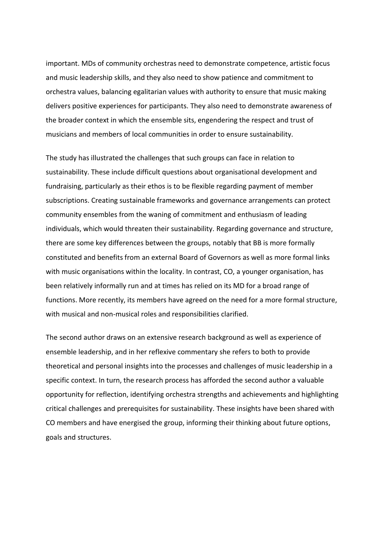important. MDs of community orchestras need to demonstrate competence, artistic focus and music leadership skills, and they also need to show patience and commitment to orchestra values, balancing egalitarian values with authority to ensure that music making delivers positive experiences for participants. They also need to demonstrate awareness of the broader context in which the ensemble sits, engendering the respect and trust of musicians and members of local communities in order to ensure sustainability.

The study has illustrated the challenges that such groups can face in relation to sustainability. These include difficult questions about organisational development and fundraising, particularly as their ethos is to be flexible regarding payment of member subscriptions. Creating sustainable frameworks and governance arrangements can protect community ensembles from the waning of commitment and enthusiasm of leading individuals, which would threaten their sustainability. Regarding governance and structure, there are some key differences between the groups, notably that BB is more formally constituted and benefits from an external Board of Governors as well as more formal links with music organisations within the locality. In contrast, CO, a younger organisation, has been relatively informally run and at times has relied on its MD for a broad range of functions. More recently, its members have agreed on the need for a more formal structure, with musical and non-musical roles and responsibilities clarified.

The second author draws on an extensive research background as well as experience of ensemble leadership, and in her reflexive commentary she refers to both to provide theoretical and personal insights into the processes and challenges of music leadership in a specific context. In turn, the research process has afforded the second author a valuable opportunity for reflection, identifying orchestra strengths and achievements and highlighting critical challenges and prerequisites for sustainability. These insights have been shared with CO members and have energised the group, informing their thinking about future options, goals and structures.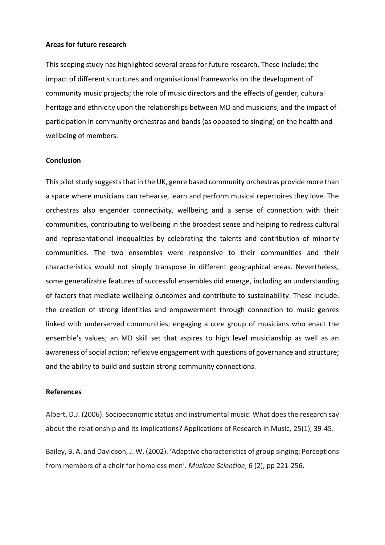### **Areas for future research**

This scoping study has highlighted several areas for future research. These include; the impact of different structures and organisational frameworks on the development of community music projects; the role of music directors and the effects of gender, cultural heritage and ethnicity upon the relationships between MD and musicians; and the impact of participation in community orchestras and bands (as opposed to singing) on the health and wellbeing of members.

## **Conclusion**

This pilot study suggests that in the UK, genre based community orchestras provide more than a space where musicians can rehearse, learn and perform musical repertoires they love. The orchestras also engender connectivity, wellbeing and a sense of connection with their communities, contributing to wellbeing in the broadest sense and helping to redress cultural and representational inequalities by celebrating the talents and contribution of minority communities. The two ensembles were responsive to their communities and their characteristics would not simply transpose in different geographical areas. Nevertheless, some generalizable features of successful ensembles did emerge, including an understanding of factors that mediate wellbeing outcomes and contribute to sustainability. These include: the creation of strong identities and empowerment through connection to music genres linked with underserved communities; engaging a core group of musicians who enact the ensemble's values; an MD skill set that aspires to high level musicianship as well as an awareness of social action; reflexive engagement with questions of governance and structure; and the ability to build and sustain strong community connections.

#### **References**

Albert, D.J. (2006). Socioeconomic status and instrumental music: What does the research say about the relationship and its implications? Applications of Research in Music, 25(1), 39-45.

Bailey, B. A. and Davidson, J. W. (2002). 'Adaptive characteristics of group singing: Perceptions from members of a choir for homeless men'. *Musicae Scientiae*, 6 (2), pp 221-256.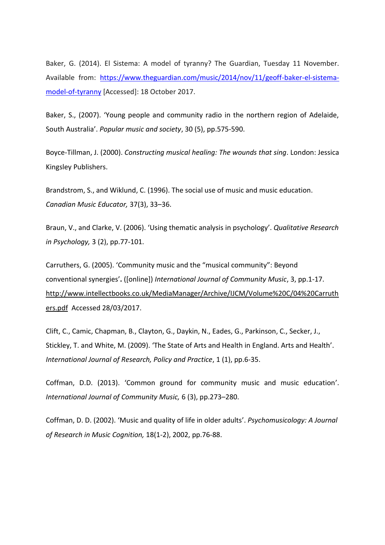Baker, G. (2014). El Sistema: A model of tyranny? The Guardian, Tuesday 11 November. Available from: [https://www.theguardian.com/music/2014/nov/11/geoff-baker-el-sistema](https://www.theguardian.com/music/2014/nov/11/geoff-baker-el-sistema-model-of-tyranny)[model-of-tyranny](https://www.theguardian.com/music/2014/nov/11/geoff-baker-el-sistema-model-of-tyranny) [Accessed]: 18 October 2017.

Baker, S., (2007). 'Young people and community radio in the northern region of Adelaide, South Australia'. *Popular music and society*, 30 (5), pp.575-590.

Boyce-Tillman, J. (2000). *Constructing musical healing: The wounds that sing*. London: Jessica Kingsley Publishers.

Brandstrom, S., and Wiklund, C. (1996). The social use of music and music education. *Canadian Music Educator,* 37(3), 33–36.

Braun, V., and Clarke, V. (2006). 'Using thematic analysis in psychology'. *Qualitative Research in Psychology,* 3 (2), pp.77-101.

Carruthers, G. (2005). 'Community music and the "musical community": Beyond conventional synergies'**.** ([online]) *International Journal of Community Music*, 3, pp.1-17. [http://www.intellectbooks.co.uk/MediaManager/Archive/IJCM/Volume%20C/04%20Carruth](http://www.intellectbooks.co.uk/MediaManager/Archive/IJCM/Volume%20C/04%20Carruthers.pdf) [ers.pdf](http://www.intellectbooks.co.uk/MediaManager/Archive/IJCM/Volume%20C/04%20Carruthers.pdf) Accessed 28/03/2017.

Clift, C., Camic, Chapman, B., Clayton, G., Daykin, N., Eades, G., Parkinson, C., Secker, J., Stickley, T. and White, M. (2009). 'The State of Arts and Health in England. Arts and Health'. *International Journal of Research, Policy and Practice*, 1 (1), pp.6-35.

Coffman, D.D. (2013). 'Common ground for community music and music education'. *International Journal of Community Music,* 6 (3), pp.273–280.

Coffman, D. D. (2002). 'Music and quality of life in older adults'. *Psychomusicology: A Journal of Research in Music Cognition,* 18(1-2), 2002, pp.76-88.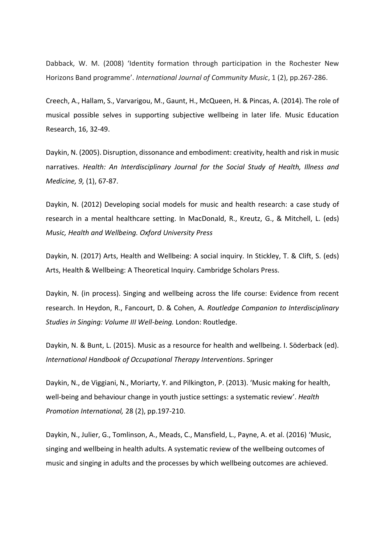Dabback, W. M. (2008) 'Identity formation through participation in the Rochester New Horizons Band programme'. *International Journal of Community Music*, 1 (2), pp.267-286.

Creech, A., Hallam, S., Varvarigou, M., Gaunt, H., McQueen, H. & Pincas, A. (2014). The role of musical possible selves in supporting subjective wellbeing in later life. Music Education Research, 16, 32-49.

Daykin, N. (2005). Disruption, dissonance and embodiment: creativity, health and risk in music narratives. *Health: An Interdisciplinary Journal for the Social Study of Health, Illness and Medicine, 9,* (1), 67-87.

Daykin, N. (2012) Developing social models for music and health research: a case study of research in a mental healthcare setting. In MacDonald, R., Kreutz, G., & Mitchell, L. (eds) *Music, Health and Wellbeing. Oxford University Press*

Daykin, N. (2017) Arts, Health and Wellbeing: A social inquiry. In Stickley, T. & Clift, S. (eds) Arts, Health & Wellbeing: A Theoretical Inquiry. Cambridge Scholars Press.

Daykin, N. (in process). Singing and wellbeing across the life course: Evidence from recent research. In Heydon, R., Fancourt, D. & Cohen, A. *Routledge Companion to Interdisciplinary Studies in Singing: Volume III Well-being.* London: Routledge.

Daykin, N. & Bunt, L. (2015). Music as a resource for health and wellbeing. I. Söderback (ed). *International Handbook of Occupational Therapy Interventions*. Springer

Daykin, N., de Viggiani, N., Moriarty, Y. and Pilkington, P. (2013). 'Music making for health, well-being and behaviour change in youth justice settings: a systematic review'. *Health Promotion International,* 28 (2), pp.197-210.

Daykin, N., Julier, G., Tomlinson, A., Meads, C., Mansfield, L., Payne, A. et al. (2016) 'Music, singing and wellbeing in health adults. A systematic review of the wellbeing outcomes of music and singing in adults and the processes by which wellbeing outcomes are achieved.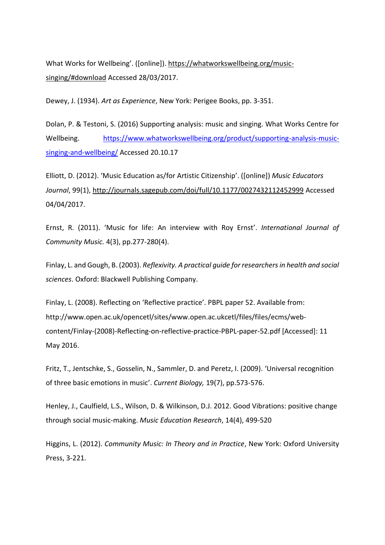What Works for Wellbeing'. ([online]). [https://whatworkswellbeing.org/music](https://whatworkswellbeing.org/music-singing/#download)[singing/#download](https://whatworkswellbeing.org/music-singing/#download) Accessed 28/03/2017.

Dewey, J. (1934). *Art as Experience*, New York: Perigee Books, pp. 3-351.

Dolan, P. & Testoni, S. (2016) Supporting analysis: music and singing. What Works Centre for Wellbeing. [https://www.whatworkswellbeing.org/product/supporting-analysis-music](https://www.whatworkswellbeing.org/product/supporting-analysis-music-singing-and-wellbeing/)[singing-and-wellbeing/](https://www.whatworkswellbeing.org/product/supporting-analysis-music-singing-and-wellbeing/) Accessed 20.10.17

Elliott, D. (2012). 'Music Education as/for Artistic Citizenship'. ([online]) *Music Educators Journal*, 99(1), <http://journals.sagepub.com/doi/full/10.1177/0027432112452999> Accessed 04/04/2017.

Ernst, R. (2011). 'Music for life: An interview with Roy Ernst'. *International Journal of Community Music.* 4(3), pp.277-280(4).

Finlay, L. and Gough, B. (2003). *Reflexivity. A practical guide for researchers in health and social sciences*. Oxford: Blackwell Publishing Company.

Finlay, L. (2008). Reflecting on 'Reflective practice'. PBPL paper 52. Available from: http://www.open.ac.uk/opencetl/sites/www.open.ac.ukcetl/files/files/ecms/webcontent/Finlay-(2008)-Reflecting-on-reflective-practice-PBPL-paper-52.pdf [Accessed]: 11 May 2016.

Fritz, T., Jentschke, S., Gosselin, N., Sammler, D. and Peretz, I. (2009). 'Universal recognition of three basic emotions in music'. *Current Biology,* 19(7), pp.573-576.

Henley, J., Caulfield, L.S., Wilson, D. & Wilkinson, D.J. 2012. Good Vibrations: positive change through social music-making. *Music Education Research*, 14(4), 499-520

Higgins, L. (2012). *Community Music: In Theory and in Practice*, New York: Oxford University Press, 3-221.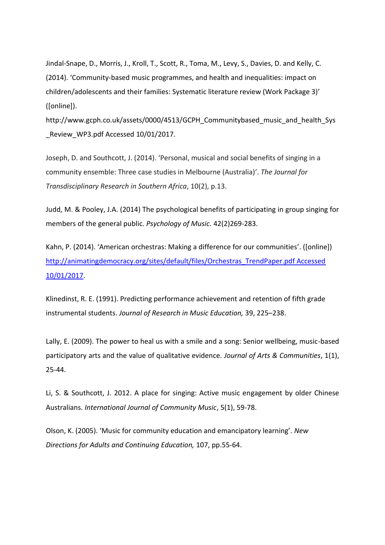Jindal-Snape, D., Morris, J., Kroll, T., Scott, R., Toma, M., Levy, S., Davies, D. and Kelly, C. (2014). 'Community-based music programmes, and health and inequalities: impact on children/adolescents and their families: Systematic literature review (Work Package 3)' ([online]).

http://www.gcph.co.uk/assets/0000/4513/GCPH\_Communitybased\_music\_and\_health\_Sys Review WP3.pdf Accessed 10/01/2017.

Joseph, D. and Southcott, J. (2014). 'Personal, musical and social benefits of singing in a community ensemble: Three case studies in Melbourne (Australia)'. *The Journal for Transdisciplinary Research in Southern Africa*, 10(2), p.13.

Judd, M. & Pooley, J.A. (2014) The psychological benefits of participating in group singing for members of the general public. *Psychology of Music.* 42(2)269-283.

Kahn, P. (2014). 'American orchestras: Making a difference for our communities'. ([online]) [http://animatingdemocracy.org/sites/default/files/Orchestras\\_TrendPaper.pdf Accessed](http://animatingdemocracy.org/sites/default/files/Orchestras_TrendPaper.pdf%20Accessed%2010/01/2017)  [10/01/2017.](http://animatingdemocracy.org/sites/default/files/Orchestras_TrendPaper.pdf%20Accessed%2010/01/2017)

Klinedinst, R. E. (1991). Predicting performance achievement and retention of fifth grade instrumental students. *Journal of Research in Music Education,* 39, 225–238.

Lally, E. (2009). The power to heal us with a smile and a song: Senior wellbeing, music-based participatory arts and the value of qualitative evidence. *Journal of Arts & Communities*, 1(1), 25-44.

Li, S. & Southcott, J. 2012. A place for singing: Active music engagement by older Chinese Australians. *International Journal of Community Music*, 5(1), 59-78.

Olson, K. (2005). 'Music for community education and emancipatory learning'. *New Directions for Adults and Continuing Education,* 107, pp.55-64.